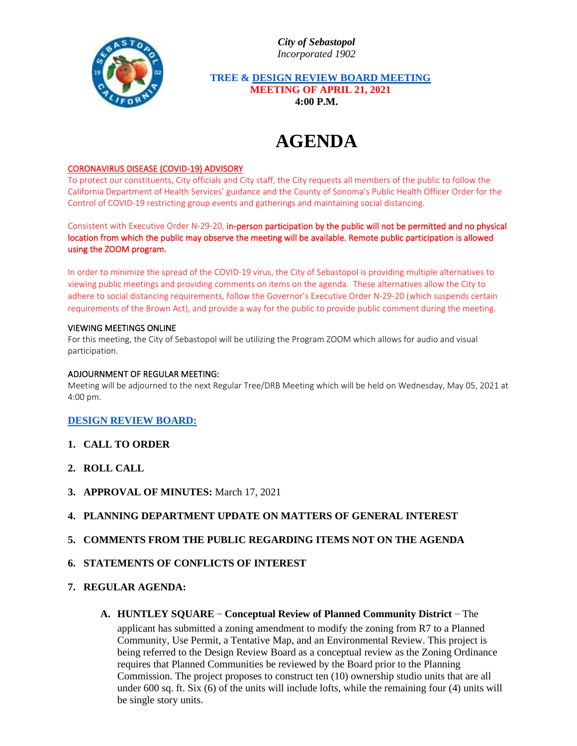*City of Sebastopol Incorporated 1902*



 **TREE & DESIGN REVIEW BOARD MEETING MEETING OF APRIL 21, 2021 4:00 P.M.**

# **AGENDA**

### CORONAVIRUS DISEASE (COVID-19) ADVISORY

To protect our constituents, City officials and City staff, the City requests all members of the public to follow the California Department of Health Services' guidance and the County of Sonoma's Public Health Officer Order for the Control of COVID-19 restricting group events and gatherings and maintaining social distancing.

Consistent with Executive Order N-29-20, in-person participation by the public will not be permitted and no physical location from which the public may observe the meeting will be available. Remote public participation is allowed using the ZOOM program.

In order to minimize the spread of the COVID-19 virus, the City of Sebastopol is providing multiple alternatives to viewing public meetings and providing comments on items on the agenda. These alternatives allow the City to adhere to social distancing requirements, follow the Governor's Executive Order N-29-20 (which suspends certain requirements of the Brown Act), and provide a way for the public to provide public comment during the meeting.

#### VIEWING MEETINGS ONLINE

For this meeting, the City of Sebastopol will be utilizing the Program ZOOM which allows for audio and visual participation.

#### ADJOURNMENT OF REGULAR MEETING:

Meeting will be adjourned to the next Regular Tree/DRB Meeting which will be held on Wednesday, May 05, 2021 at 4:00 pm.

#### **DESIGN REVIEW BOARD:**

- **1. CALL TO ORDER**
- **2. ROLL CALL**
- **3. APPROVAL OF MINUTES:** March 17, 2021

## **4. PLANNING DEPARTMENT UPDATE ON MATTERS OF GENERAL INTEREST**

## **5. COMMENTS FROM THE PUBLIC REGARDING ITEMS NOT ON THE AGENDA**

## **6. STATEMENTS OF CONFLICTS OF INTEREST**

#### **7. REGULAR AGENDA:**

**A. HUNTLEY SQUARE – Conceptual Review of Planned Community District** – The

applicant has submitted a zoning amendment to modify the zoning from R7 to a Planned Community, Use Permit, a Tentative Map, and an Environmental Review. This project is being referred to the Design Review Board as a conceptual review as the Zoning Ordinance requires that Planned Communities be reviewed by the Board prior to the Planning Commission. The project proposes to construct ten (10) ownership studio units that are all under 600 sq. ft. Six (6) of the units will include lofts, while the remaining four (4) units will be single story units.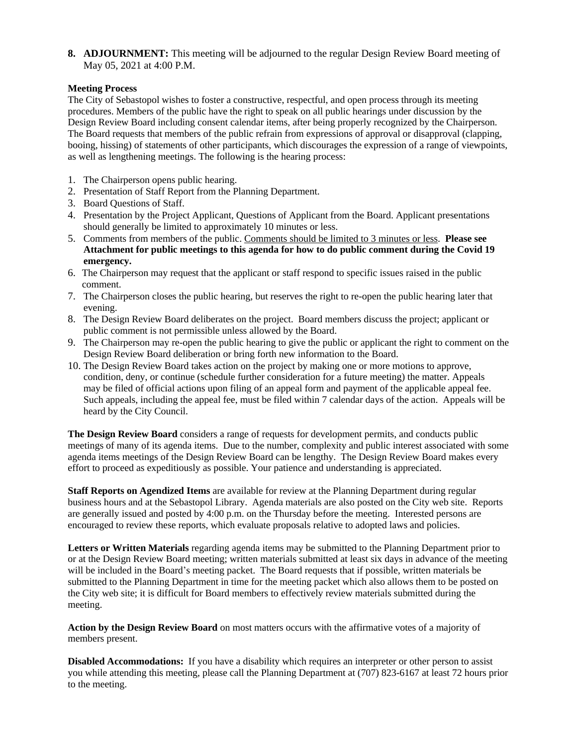**8. ADJOURNMENT:** This meeting will be adjourned to the regular Design Review Board meeting of May 05, 2021 at 4:00 P.M.

## **Meeting Process**

The City of Sebastopol wishes to foster a constructive, respectful, and open process through its meeting procedures. Members of the public have the right to speak on all public hearings under discussion by the Design Review Board including consent calendar items, after being properly recognized by the Chairperson. The Board requests that members of the public refrain from expressions of approval or disapproval (clapping, booing, hissing) of statements of other participants, which discourages the expression of a range of viewpoints, as well as lengthening meetings. The following is the hearing process:

- 1. The Chairperson opens public hearing.
- 2. Presentation of Staff Report from the Planning Department.
- 3. Board Questions of Staff.
- 4. Presentation by the Project Applicant, Questions of Applicant from the Board. Applicant presentations should generally be limited to approximately 10 minutes or less.
- 5. Comments from members of the public. Comments should be limited to 3 minutes or less. **Please see Attachment for public meetings to this agenda for how to do public comment during the Covid 19 emergency.**
- 6. The Chairperson may request that the applicant or staff respond to specific issues raised in the public comment.
- 7. The Chairperson closes the public hearing, but reserves the right to re-open the public hearing later that evening.
- 8. The Design Review Board deliberates on the project. Board members discuss the project; applicant or public comment is not permissible unless allowed by the Board.
- 9. The Chairperson may re-open the public hearing to give the public or applicant the right to comment on the Design Review Board deliberation or bring forth new information to the Board.
- 10. The Design Review Board takes action on the project by making one or more motions to approve, condition, deny, or continue (schedule further consideration for a future meeting) the matter. Appeals may be filed of official actions upon filing of an appeal form and payment of the applicable appeal fee. Such appeals, including the appeal fee, must be filed within 7 calendar days of the action. Appeals will be heard by the City Council.

**The Design Review Board** considers a range of requests for development permits, and conducts public meetings of many of its agenda items. Due to the number, complexity and public interest associated with some agenda items meetings of the Design Review Board can be lengthy. The Design Review Board makes every effort to proceed as expeditiously as possible. Your patience and understanding is appreciated.

**Staff Reports on Agendized Items** are available for review at the Planning Department during regular business hours and at the Sebastopol Library. Agenda materials are also posted on the City web site. Reports are generally issued and posted by 4:00 p.m. on the Thursday before the meeting. Interested persons are encouraged to review these reports, which evaluate proposals relative to adopted laws and policies.

**Letters or Written Materials** regarding agenda items may be submitted to the Planning Department prior to or at the Design Review Board meeting; written materials submitted at least six days in advance of the meeting will be included in the Board's meeting packet. The Board requests that if possible, written materials be submitted to the Planning Department in time for the meeting packet which also allows them to be posted on the City web site; it is difficult for Board members to effectively review materials submitted during the meeting.

**Action by the Design Review Board** on most matters occurs with the affirmative votes of a majority of members present.

**Disabled Accommodations:** If you have a disability which requires an interpreter or other person to assist you while attending this meeting, please call the Planning Department at (707) 823-6167 at least 72 hours prior to the meeting.